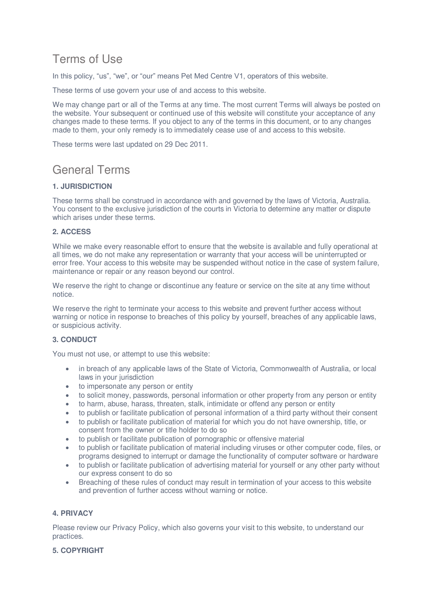# Terms of Use

In this policy, "us", "we", or "our" means Pet Med Centre V1, operators of this website.

These terms of use govern your use of and access to this website.

We may change part or all of the Terms at any time. The most current Terms will always be posted on the website. Your subsequent or continued use of this website will constitute your acceptance of any changes made to these terms. If you object to any of the terms in this document, or to any changes made to them, your only remedy is to immediately cease use of and access to this website.

These terms were last updated on 29 Dec 2011.

# General Terms

## **1. JURISDICTION**

These terms shall be construed in accordance with and governed by the laws of Victoria, Australia. You consent to the exclusive jurisdiction of the courts in Victoria to determine any matter or dispute which arises under these terms.

## **2. ACCESS**

While we make every reasonable effort to ensure that the website is available and fully operational at all times, we do not make any representation or warranty that your access will be uninterrupted or error free. Your access to this website may be suspended without notice in the case of system failure, maintenance or repair or any reason beyond our control.

We reserve the right to change or discontinue any feature or service on the site at any time without notice.

We reserve the right to terminate your access to this website and prevent further access without warning or notice in response to breaches of this policy by yourself, breaches of any applicable laws, or suspicious activity.

### **3. CONDUCT**

You must not use, or attempt to use this website:

- in breach of any applicable laws of the State of Victoria, Commonwealth of Australia, or local laws in your jurisdiction
- to impersonate any person or entity
- to solicit money, passwords, personal information or other property from any person or entity
- to harm, abuse, harass, threaten, stalk, intimidate or offend any person or entity
- to publish or facilitate publication of personal information of a third party without their consent
- to publish or facilitate publication of material for which you do not have ownership, title, or consent from the owner or title holder to do so
- to publish or facilitate publication of pornographic or offensive material
- to publish or facilitate publication of material including viruses or other computer code, files, or programs designed to interrupt or damage the functionality of computer software or hardware
- to publish or facilitate publication of advertising material for yourself or any other party without our express consent to do so
- Breaching of these rules of conduct may result in termination of your access to this website and prevention of further access without warning or notice.

### **4. PRIVACY**

Please review our Privacy Policy, which also governs your visit to this website, to understand our practices.

### **5. COPYRIGHT**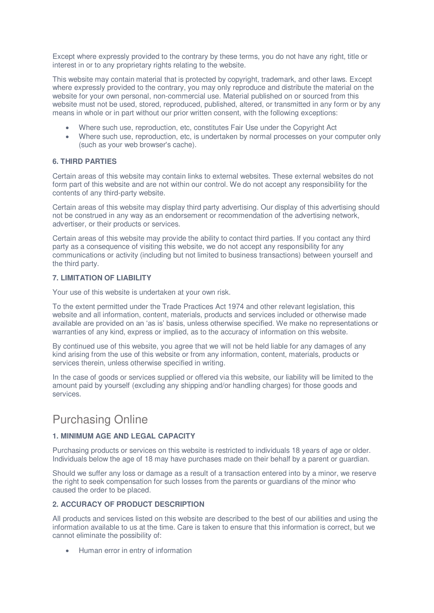Except where expressly provided to the contrary by these terms, you do not have any right, title or interest in or to any proprietary rights relating to the website.

This website may contain material that is protected by copyright, trademark, and other laws. Except where expressly provided to the contrary, you may only reproduce and distribute the material on the website for your own personal, non-commercial use. Material published on or sourced from this website must not be used, stored, reproduced, published, altered, or transmitted in any form or by any means in whole or in part without our prior written consent, with the following exceptions:

- Where such use, reproduction, etc, constitutes Fair Use under the Copyright Act
- Where such use, reproduction, etc, is undertaken by normal processes on your computer only (such as your web browser's cache).

### **6. THIRD PARTIES**

Certain areas of this website may contain links to external websites. These external websites do not form part of this website and are not within our control. We do not accept any responsibility for the contents of any third-party website.

Certain areas of this website may display third party advertising. Our display of this advertising should not be construed in any way as an endorsement or recommendation of the advertising network, advertiser, or their products or services.

Certain areas of this website may provide the ability to contact third parties. If you contact any third party as a consequence of visiting this website, we do not accept any responsibility for any communications or activity (including but not limited to business transactions) between yourself and the third party.

### **7. LIMITATION OF LIABILITY**

Your use of this website is undertaken at your own risk.

To the extent permitted under the Trade Practices Act 1974 and other relevant legislation, this website and all information, content, materials, products and services included or otherwise made available are provided on an 'as is' basis, unless otherwise specified. We make no representations or warranties of any kind, express or implied, as to the accuracy of information on this website.

By continued use of this website, you agree that we will not be held liable for any damages of any kind arising from the use of this website or from any information, content, materials, products or services therein, unless otherwise specified in writing.

In the case of goods or services supplied or offered via this website, our liability will be limited to the amount paid by yourself (excluding any shipping and/or handling charges) for those goods and services.

## Purchasing Online

## **1. MINIMUM AGE AND LEGAL CAPACITY**

Purchasing products or services on this website is restricted to individuals 18 years of age or older. Individuals below the age of 18 may have purchases made on their behalf by a parent or guardian.

Should we suffer any loss or damage as a result of a transaction entered into by a minor, we reserve the right to seek compensation for such losses from the parents or guardians of the minor who caused the order to be placed.

### **2. ACCURACY OF PRODUCT DESCRIPTION**

All products and services listed on this website are described to the best of our abilities and using the information available to us at the time. Care is taken to ensure that this information is correct, but we cannot eliminate the possibility of:

• Human error in entry of information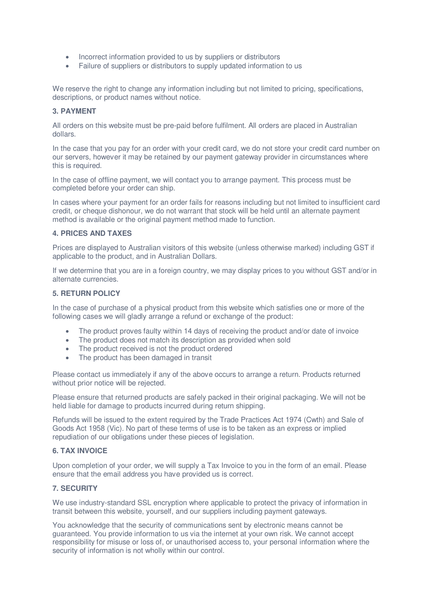- Incorrect information provided to us by suppliers or distributors
- Failure of suppliers or distributors to supply updated information to us

We reserve the right to change any information including but not limited to pricing, specifications, descriptions, or product names without notice.

### **3. PAYMENT**

All orders on this website must be pre-paid before fulfilment. All orders are placed in Australian dollars.

In the case that you pay for an order with your credit card, we do not store your credit card number on our servers, however it may be retained by our payment gateway provider in circumstances where this is required.

In the case of offline payment, we will contact you to arrange payment. This process must be completed before your order can ship.

In cases where your payment for an order fails for reasons including but not limited to insufficient card credit, or cheque dishonour, we do not warrant that stock will be held until an alternate payment method is available or the original payment method made to function.

### **4. PRICES AND TAXES**

Prices are displayed to Australian visitors of this website (unless otherwise marked) including GST if applicable to the product, and in Australian Dollars.

If we determine that you are in a foreign country, we may display prices to you without GST and/or in alternate currencies.

### **5. RETURN POLICY**

In the case of purchase of a physical product from this website which satisfies one or more of the following cases we will gladly arrange a refund or exchange of the product:

- The product proves faulty within 14 days of receiving the product and/or date of invoice
- The product does not match its description as provided when sold
- The product received is not the product ordered
- The product has been damaged in transit

Please contact us immediately if any of the above occurs to arrange a return. Products returned without prior notice will be rejected.

Please ensure that returned products are safely packed in their original packaging. We will not be held liable for damage to products incurred during return shipping.

Refunds will be issued to the extent required by the Trade Practices Act 1974 (Cwth) and Sale of Goods Act 1958 (Vic). No part of these terms of use is to be taken as an express or implied repudiation of our obligations under these pieces of legislation.

### **6. TAX INVOICE**

Upon completion of your order, we will supply a Tax Invoice to you in the form of an email. Please ensure that the email address you have provided us is correct.

### **7. SECURITY**

We use industry-standard SSL encryption where applicable to protect the privacy of information in transit between this website, yourself, and our suppliers including payment gateways.

You acknowledge that the security of communications sent by electronic means cannot be guaranteed. You provide information to us via the internet at your own risk. We cannot accept responsibility for misuse or loss of, or unauthorised access to, your personal information where the security of information is not wholly within our control.